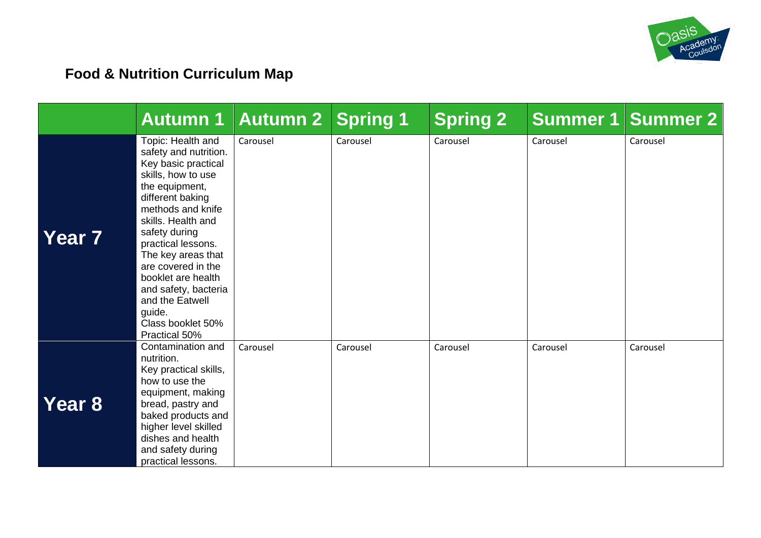

# **Food & Nutrition Curriculum Map**

|               | <b>Autumn 1</b>                                                                                                                                                                                                                                                                                                                                                              | Autumn 2 | <b>Spring 1</b> | <b>Spring 2</b> | Summer 1 | <b>Summer 2</b> |
|---------------|------------------------------------------------------------------------------------------------------------------------------------------------------------------------------------------------------------------------------------------------------------------------------------------------------------------------------------------------------------------------------|----------|-----------------|-----------------|----------|-----------------|
| <b>Year 7</b> | Topic: Health and<br>safety and nutrition.<br>Key basic practical<br>skills, how to use<br>the equipment,<br>different baking<br>methods and knife<br>skills. Health and<br>safety during<br>practical lessons.<br>The key areas that<br>are covered in the<br>booklet are health<br>and safety, bacteria<br>and the Eatwell<br>guide.<br>Class booklet 50%<br>Practical 50% | Carousel | Carousel        | Carousel        | Carousel | Carousel        |
| <b>Year 8</b> | Contamination and<br>nutrition.<br>Key practical skills,<br>how to use the<br>equipment, making<br>bread, pastry and<br>baked products and<br>higher level skilled<br>dishes and health<br>and safety during<br>practical lessons.                                                                                                                                           | Carousel | Carousel        | Carousel        | Carousel | Carousel        |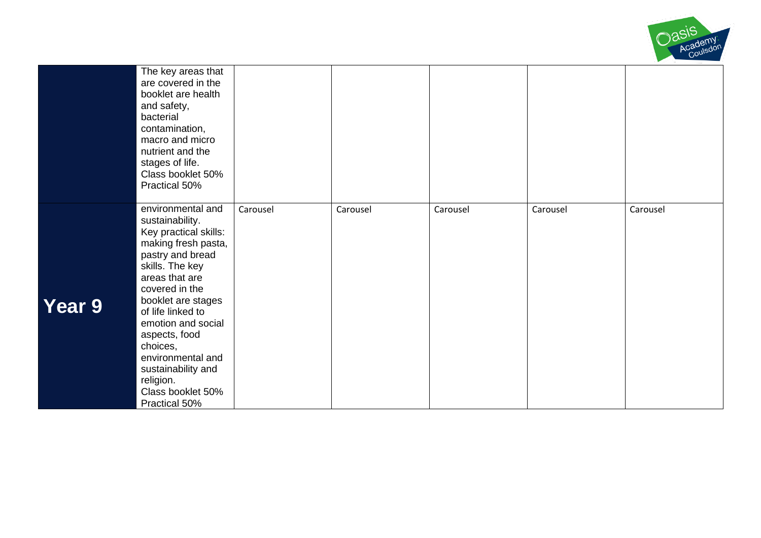

|        | The key areas that<br>are covered in the<br>booklet are health<br>and safety,<br>bacterial<br>contamination,<br>macro and micro<br>nutrient and the<br>stages of life.<br>Class booklet 50%<br>Practical 50%                                                                                                                                                |          |          |          |          |          |
|--------|-------------------------------------------------------------------------------------------------------------------------------------------------------------------------------------------------------------------------------------------------------------------------------------------------------------------------------------------------------------|----------|----------|----------|----------|----------|
| Year 9 | environmental and<br>sustainability.<br>Key practical skills:<br>making fresh pasta,<br>pastry and bread<br>skills. The key<br>areas that are<br>covered in the<br>booklet are stages<br>of life linked to<br>emotion and social<br>aspects, food<br>choices,<br>environmental and<br>sustainability and<br>religion.<br>Class booklet 50%<br>Practical 50% | Carousel | Carousel | Carousel | Carousel | Carousel |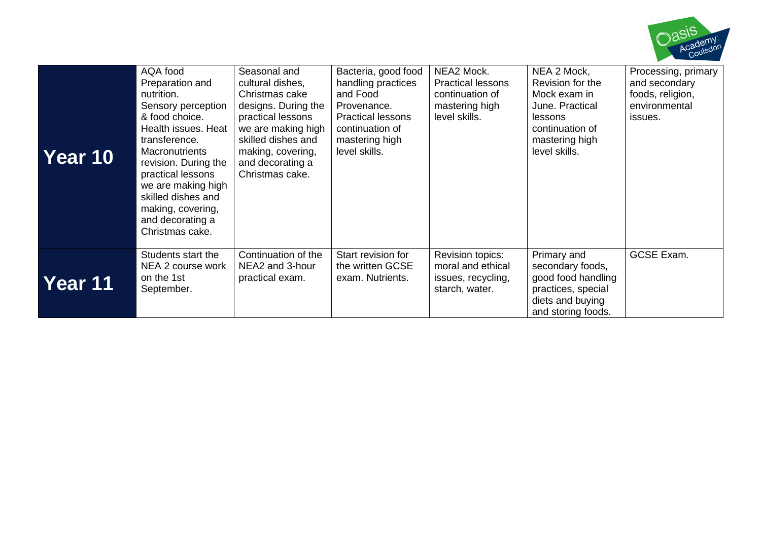

| Year 10 | AQA food<br>Preparation and<br>nutrition.<br>Sensory perception<br>& food choice.<br>Health issues. Heat<br>transference.<br><b>Macronutrients</b><br>revision. During the<br>practical lessons<br>we are making high<br>skilled dishes and<br>making, covering,<br>and decorating a<br>Christmas cake. | Seasonal and<br>cultural dishes,<br>Christmas cake<br>designs. During the<br>practical lessons<br>we are making high<br>skilled dishes and<br>making, covering,<br>and decorating a<br>Christmas cake. | Bacteria, good food<br>handling practices<br>and Food<br>Provenance.<br><b>Practical lessons</b><br>continuation of<br>mastering high<br>level skills. | NEA2 Mock.<br><b>Practical lessons</b><br>continuation of<br>mastering high<br>level skills. | NEA 2 Mock,<br>Revision for the<br>Mock exam in<br>June. Practical<br>lessons<br>continuation of<br>mastering high<br>level skills. | Processing, primary<br>and secondary<br>foods, religion,<br>environmental<br>issues. |
|---------|---------------------------------------------------------------------------------------------------------------------------------------------------------------------------------------------------------------------------------------------------------------------------------------------------------|--------------------------------------------------------------------------------------------------------------------------------------------------------------------------------------------------------|--------------------------------------------------------------------------------------------------------------------------------------------------------|----------------------------------------------------------------------------------------------|-------------------------------------------------------------------------------------------------------------------------------------|--------------------------------------------------------------------------------------|
| Year 11 | Students start the<br>NEA 2 course work<br>on the 1st<br>September.                                                                                                                                                                                                                                     | Continuation of the<br>NEA2 and 3-hour<br>practical exam.                                                                                                                                              | Start revision for<br>the written GCSE<br>exam. Nutrients.                                                                                             | Revision topics:<br>moral and ethical<br>issues, recycling,<br>starch, water.                | Primary and<br>secondary foods,<br>good food handling<br>practices, special<br>diets and buying<br>and storing foods.               | <b>GCSE Exam.</b>                                                                    |